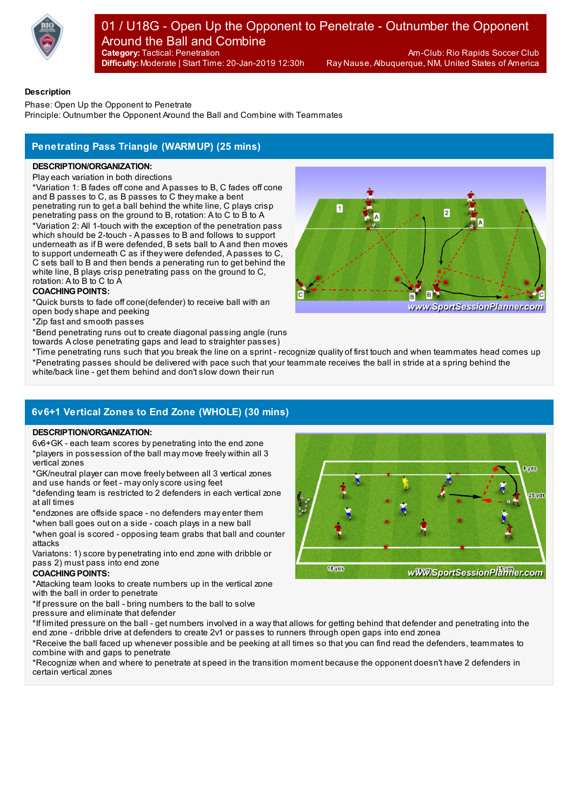

#### **Category:** Tactical: Penetration Am-Club: Rio Rapids Soccer Club 01 / U18G - Open Up the Opponent to Penetrate - Outnumber the Opponent Around the Ball and Combine

**Difficulty:** Moderate | Start Time: 20-Jan-2019 12:30h

Ray Nause, Albuquerque, NM, United States of America

### **Description**

Phase: Open Up the Opponent to Penetrate Principle: Outnumber the Opponent Around the Ball and Combine with Teammates

# **Penetrating Pass Triangle (WARMUP) (25 mins)**

### **DESCRIPTION/ORGANIZATION:**

Play each variation in both directions

\*Variation 1: B fades off cone and A passes to B, C fades off cone and B passes to C, as B passes to C they make a bent penetrating run to get a ball behind the white line, C plays crisp

penetrating pass on the ground to B, rotation: A to C to B to A \*Variation 2: All 1-touch with the exception of the penetration pass which should be 2-touch - A passes to B and follows to support underneath as if B were defended, B sets ball to A and then moves to support underneath C as if they were defended, A passes to C, C sets ball to B and then bends a penerating run to get behind the white line, B plays crisp penetrating pass on the ground to C, rotation: A to B to C to A

## **COACHING POINTS:**

\*Quick bursts to fade off cone(defender) to receive ball with an open bodyshape and peeking

\*Zip fast and smooth passes

\*Bend penetrating runs out to create diagonal passing angle (runs towards A close penetrating gaps and lead to straighter passes)



\*Time penetrating runs such that you break the line on a sprint - recognize quality of first touch and when teammates head comes up \*Penetrating passes should be delivered with pace such that your teammate receives the ball in stride at a spring behind the white/back line - get them behind and don't slow down their run

# **6v6+1 Vertical Zones to End Zone (WHOLE) (30 mins)**

### **DESCRIPTION/ORGANIZATION:**

6v6+GK - each team scores by penetrating into the end zone \*players in possession of the ball may move freely within all 3 vertical zones

\*GK/neutral player can move freely between all 3 vertical zones and use hands or feet - may onlyscore using feet

\*defending team is restricted to 2 defenders in each vertical zone at all times

\*endzones are offside space - no defenders may enter them

\*when ball goes out on a side - coach plays in a new ball \*when goal is scored - opposing team grabs that ball and counter attacks

Variatons: 1) score by penetrating into end zone with dribble or pass 2) must pass into end zone

### **COACHING POINTS:**

\*Attacking team looks to create numbers up in the vertical zone with the ball in order to penetrate

\*If pressure on the ball - bring numbers to the ball to solve pressure and eliminate that defender

\*If limited pressure on the ball - get numbers involved in a waythat allows for getting behind that defender and penetrating into the end zone - dribble drive at defenders to create 2v1 or passes to runners through open gaps into end zonea

\*Receive the ball faced up whenever possible and be peeking at all times so that you can find read the defenders, teammates to combine with and gaps to penetrate

\*Recognize when and where to penetrate at speed in the transition moment because the opponent doesn't have 2 defenders in certain vertical zones